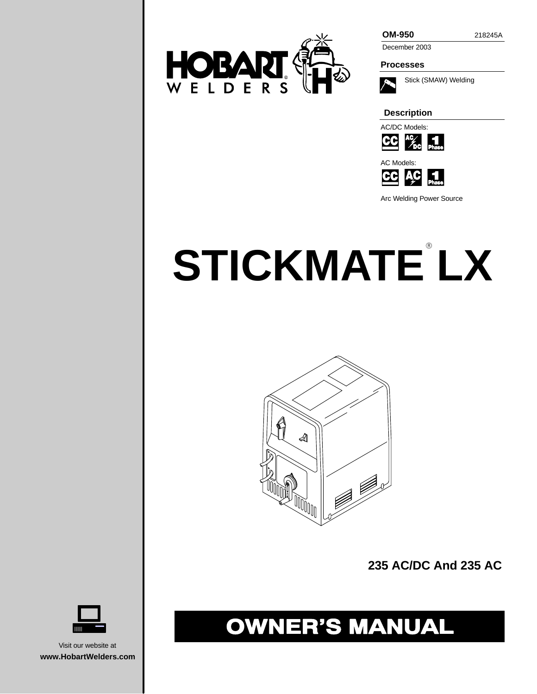

December 2003

**Processes**



Stick (SMAW) Welding

**Description**



AC Models:



Arc Welding Power Source

# **STICKMATE LX**



**235 AC/DC And 235 AC**

# **OWNER'S MANUAL**



Visit our website at **www.HobartWelders.com**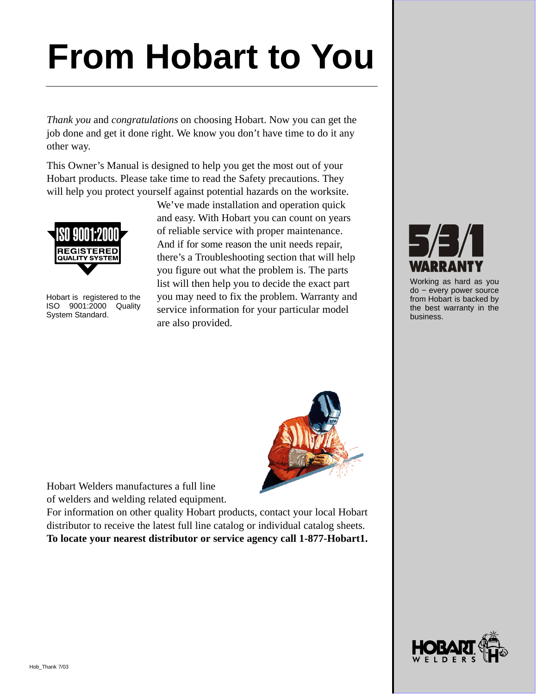# **From Hobart to You**

*Thank you* and *congratulations* on choosing Hobart. Now you can get the job done and get it done right. We know you don't have time to do it any other way.

This Owner's Manual is designed to help you get the most out of your Hobart products. Please take time to read the Safety precautions. They will help you protect yourself against potential hazards on the worksite.



Hobart is registered to the ISO 9001:2000 Quality System Standard.

We've made installation and operation quick and easy. With Hobart you can count on years of reliable service with proper maintenance. And if for some reason the unit needs repair, there's a Troubleshooting section that will help you figure out what the problem is. The parts list will then help you to decide the exact part you may need to fix the problem. Warranty and service information for your particular model are also provided.



Hobart Welders manufactures a full line of welders and welding related equipment.

For information on other quality Hobart products, contact your local Hobart distributor to receive the latest full line catalog or individual catalog sheets. **To locate your nearest distributor or service agency call 1-877-Hobart1.**



Working as hard as you do − every power source from Hobart is backed by the best warranty in the business.

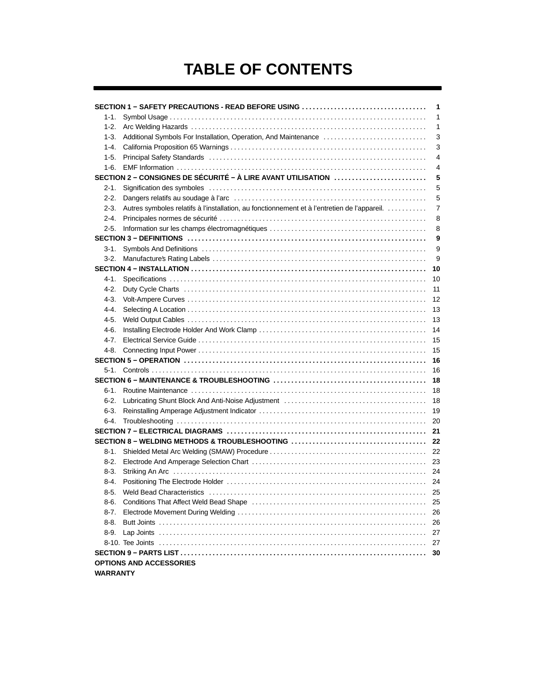# **TABLE OF CONTENTS**

|           | SECTION 1 - SAFETY PRECAUTIONS - READ BEFORE USING                                                                                                                                                                             | 1  |
|-----------|--------------------------------------------------------------------------------------------------------------------------------------------------------------------------------------------------------------------------------|----|
| 1-1.      |                                                                                                                                                                                                                                | 1  |
| $1 - 2.$  |                                                                                                                                                                                                                                | 1  |
| $1-3.$    | Additional Symbols For Installation, Operation, And Maintenance                                                                                                                                                                | 3  |
| $1 - 4.$  |                                                                                                                                                                                                                                | 3  |
| $1-5.$    | Principal Safety Standards (and accommunity control of the state of the state of the state of the Standards (and the Standards of the Standards of the Standards of the Standards of the Standards of the Standards of the Sta | 4  |
| 1-6.      |                                                                                                                                                                                                                                | 4  |
|           | SECTION 2 - CONSIGNES DE SÉCURITÉ - À LIRE AVANT UTILISATION                                                                                                                                                                   | 5  |
| 2-1.      |                                                                                                                                                                                                                                | 5  |
| $2 - 2.$  |                                                                                                                                                                                                                                | 5  |
| $2 - 3.$  | Autres symboles relatifs à l'installation, au fonctionnement et à l'entretien de l'appareil.                                                                                                                                   | 7  |
| $2 - 4.$  |                                                                                                                                                                                                                                | 8  |
| $2 - 5.$  |                                                                                                                                                                                                                                | 8  |
|           |                                                                                                                                                                                                                                | 9  |
| 3-1.      |                                                                                                                                                                                                                                | 9  |
| $3-2.$    |                                                                                                                                                                                                                                | 9  |
|           |                                                                                                                                                                                                                                | 10 |
| 4-1.      |                                                                                                                                                                                                                                | 10 |
| $4-2.$    |                                                                                                                                                                                                                                | 11 |
| 4-3.      |                                                                                                                                                                                                                                | 12 |
| 4-4.      |                                                                                                                                                                                                                                | 13 |
| $4-5.$    |                                                                                                                                                                                                                                | 13 |
| 4-6.      |                                                                                                                                                                                                                                | 14 |
| $4 - 7$ . |                                                                                                                                                                                                                                | 15 |
| 4-8.      |                                                                                                                                                                                                                                | 15 |
|           |                                                                                                                                                                                                                                | 16 |
| 5-1.      |                                                                                                                                                                                                                                | 16 |
|           |                                                                                                                                                                                                                                | 18 |
| 6-1.      |                                                                                                                                                                                                                                | 18 |
| $6 - 2.$  |                                                                                                                                                                                                                                | 18 |
| $6 - 3.$  |                                                                                                                                                                                                                                | 19 |
| $6 - 4.$  |                                                                                                                                                                                                                                | 20 |
|           |                                                                                                                                                                                                                                | 21 |
|           |                                                                                                                                                                                                                                | 22 |
| 8-1.      |                                                                                                                                                                                                                                | 22 |
| $8-2.$    |                                                                                                                                                                                                                                | 23 |
| $8-3.$    |                                                                                                                                                                                                                                |    |
| 8-4.      |                                                                                                                                                                                                                                |    |
| $8 - 5.$  |                                                                                                                                                                                                                                | 25 |
| 8-6.      |                                                                                                                                                                                                                                | 25 |
| $8 - 7.$  |                                                                                                                                                                                                                                | 26 |
| $8 - 8.$  |                                                                                                                                                                                                                                | 26 |
| 8-9.      |                                                                                                                                                                                                                                | 27 |
|           |                                                                                                                                                                                                                                | 27 |
|           |                                                                                                                                                                                                                                | 30 |
|           | <b>OPTIONS AND ACCESSORIES</b>                                                                                                                                                                                                 |    |
| WARRANTY  |                                                                                                                                                                                                                                |    |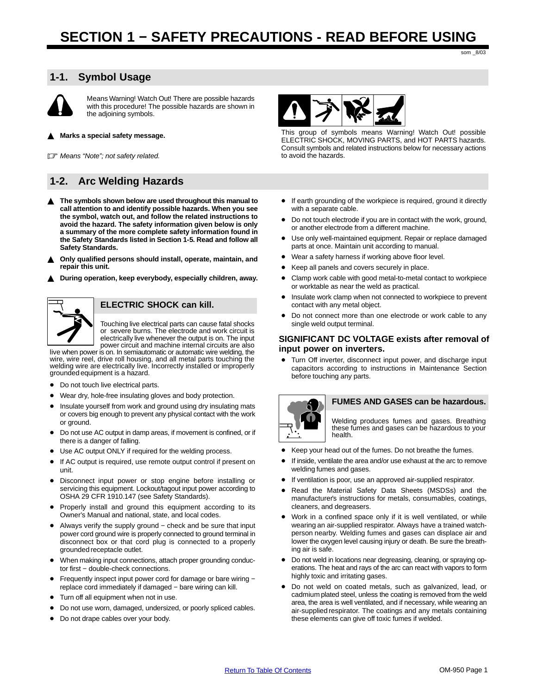# <span id="page-4-0"></span>**1-1. Symbol Usage**



Means Warning! Watch Out! There are possible hazards with this procedure! The possible hazards are shown in the adjoining symbols.

 $\blacktriangle$ **Marks a special safety message.**

**F** Means "Note"; not safety related.

# **1-2. Arc Welding Hazards**

- ▲ The symbols shown below are used throughout this manual to **call attention to and identify possible hazards. When you see the symbol, watch out, and follow the related instructions to avoid the hazard. The safety information given below is only a summary of the more complete safety information found in the Safety Standards listed in Section [1-5](#page-7-0). Read and follow all Safety Standards.**
- $\blacktriangle$  **Only qualified persons should install, operate, maintain, and repair this unit.**
- $\blacktriangle$ **During operation, keep everybody, especially children, away.**



#### **ELECTRIC SHOCK can kill.**

Touching live electrical parts can cause fatal shocks or severe burns. The electrode and work circuit is electrically live whenever the output is on. The input power circuit and machine internal circuits are also

live when power is on. In semiautomatic or automatic wire welding, the wire, wire reel, drive roll housing, and all metal parts touching the welding wire are electrically live. Incorrectly installed or improperly grounded equipment is a hazard.

- Do not touch live electrical parts.
- Wear dry, hole-free insulating gloves and body protection.
- Insulate yourself from work and ground using dry insulating mats or covers big enough to prevent any physical contact with the work or ground.
- Do not use AC output in damp areas, if movement is confined, or if there is a danger of falling.
- Use AC output ONLY if required for the welding process.
- If AC output is required, use remote output control if present on unit.
- Disconnect input power or stop engine before installing or servicing this equipment. Lockout/tagout input power according to OSHA 29 CFR 1910.147 (see Safety Standards).
- Properly install and ground this equipment according to its Owner's Manual and national, state, and local codes.
- Always verify the supply ground check and be sure that input power cord ground wire is properly connected to ground terminal in disconnect box or that cord plug is connected to a properly grounded receptacle outlet.
- When making input connections, attach proper grounding conductor first - double-check connections.
- Frequently inspect input power cord for damage or bare wiring − replace cord immediately if damaged − bare wiring can kill.
- Turn off all equipment when not in use.
- Do not use worn, damaged, undersized, or poorly spliced cables.
- Do not drape cables over your body.



This group of symbols means Warning! Watch Out! possible ELECTRIC SHOCK, MOVING PARTS, and HOT PARTS hazards. Consult symbols and related instructions below for necessary actions to avoid the hazards.

- If earth grounding of the workpiece is required, ground it directly with a separate cable.
- Do not touch electrode if you are in contact with the work, ground, or another electrode from a different machine.
- Use only well-maintained equipment. Repair or replace damaged parts at once. Maintain unit according to manual.
- Wear a safety harness if working above floor level.
- Keep all panels and covers securely in place.
- Clamp work cable with good metal-to-metal contact to workpiece or worktable as near the weld as practical.
- **•** Insulate work clamp when not connected to workpiece to prevent contact with any metal object.
- Do not connect more than one electrode or work cable to any single weld output terminal.

#### **SIGNIFICANT DC VOLTAGE exists after removal of input power on inverters.**

 Turn Off inverter, disconnect input power, and discharge input capacitors according to instructions in Maintenance Section before touching any parts.



#### **FUMES AND GASES can be hazardous.**

Welding produces fumes and gases. Breathing these fumes and gases can be hazardous to your health.

- Keep your head out of the fumes. Do not breathe the fumes.
- If inside, ventilate the area and/or use exhaust at the arc to remove welding fumes and gases.
- If ventilation is poor, use an approved air-supplied respirator.
- Read the Material Safety Data Sheets (MSDSs) and the manufacturer's instructions for metals, consumables, coatings, cleaners, and degreasers.
- Work in a confined space only if it is well ventilated, or while wearing an air-supplied respirator. Always have a trained watchperson nearby. Welding fumes and gases can displace air and lower the oxygen level causing injury or death. Be sure the breathing air is safe.
- Do not weld in locations near degreasing, cleaning, or spraying operations. The heat and rays of the arc can react with vapors to form highly toxic and irritating gases.
- Do not weld on coated metals, such as galvanized, lead, or cadmium plated steel, unless the coating is removed from the weld area, the area is well ventilated, and if necessary, while wearing an air-supplied respirator. The coatings and any metals containing these elements can give off toxic fumes if welded.

som \_8/03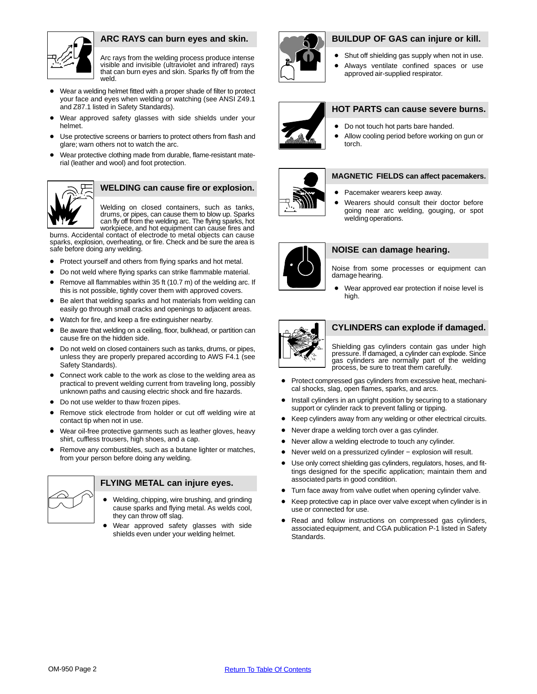

## **ARC RAYS can burn eyes and skin.**

Arc rays from the welding process produce intense visible and invisible (ultraviolet and infrared) rays that can burn eyes and skin. Sparks fly off from the weld.

- Wear a welding helmet fitted with a proper shade of filter to protect your face and eyes when welding or watching (see ANSI Z49.1 and Z87.1 listed in Safety Standards).
- Wear approved safety glasses with side shields under your helmet.
- Use protective screens or barriers to protect others from flash and glare; warn others not to watch the arc.
- Wear protective clothing made from durable, flame-resistant material (leather and wool) and foot protection.



# **WELDING can cause fire or explosion.**

Welding on closed containers, such as tanks, drums, or pipes, can cause them to blow up. Sparks can fly off from the welding arc. The flying sparks, hot workpiece, and hot equipment can cause fires and

burns. Accidental contact of electrode to metal objects can cause sparks, explosion, overheating, or fire. Check and be sure the area is safe before doing any welding.

- Protect yourself and others from flying sparks and hot metal.
- Do not weld where flying sparks can strike flammable material.
- Remove all flammables within 35 ft (10.7 m) of the welding arc. If this is not possible, tightly cover them with approved covers.
- Be alert that welding sparks and hot materials from welding can easily go through small cracks and openings to adjacent areas.
- Watch for fire, and keep a fire extinguisher nearby.
- Be aware that welding on a ceiling, floor, bulkhead, or partition can cause fire on the hidden side.
- Do not weld on closed containers such as tanks, drums, or pipes, unless they are properly prepared according to AWS F4.1 (see Safety Standards).
- Connect work cable to the work as close to the welding area as practical to prevent welding current from traveling long, possibly unknown paths and causing electric shock and fire hazards.
- Do not use welder to thaw frozen pipes.
- Remove stick electrode from holder or cut off welding wire at contact tip when not in use.
- Wear oil-free protective garments such as leather gloves, heavy shirt, cuffless trousers, high shoes, and a cap.
- Remove any combustibles, such as a butane lighter or matches, from your person before doing any welding.



#### **FLYING METAL can injure eyes.**

- Welding, chipping, wire brushing, and grinding cause sparks and flying metal. As welds cool, they can throw off slag.
- Wear approved safety glasses with side shields even under your welding helmet.



#### **BUILDUP OF GAS can injure or kill.**

- Shut off shielding gas supply when not in use. Always ventilate confined spaces or use
- approved air-supplied respirator.



# **HOT PARTS can cause severe burns.** • Do not touch hot parts bare handed.

 Allow cooling period before working on gun or torch.



#### **MAGNETIC FIELDS can affect pacemakers.**

- Pacemaker wearers keep away.
- Wearers should consult their doctor before going near arc welding, gouging, or spot welding operations.



#### **NOISE can damage hearing.**

Noise from some processes or equipment can damage hearing.

 Wear approved ear protection if noise level is high.



#### **CYLINDERS can explode if damaged.**

Shielding gas cylinders contain gas under high pressure. If damaged, a cylinder can explode. Since gas cylinders are normally part of the welding process, be sure to treat them carefully.

- Protect compressed gas cylinders from excessive heat, mechanical shocks, slag, open flames, sparks, and arcs.
- Install cylinders in an upright position by securing to a stationary support or cylinder rack to prevent falling or tipping.
- Keep cylinders away from any welding or other electrical circuits.
- Never drape a welding torch over a gas cylinder.
- Never allow a welding electrode to touch any cylinder.
- Never weld on a pressurized cylinder explosion will result.
- Use only correct shielding gas cylinders, regulators, hoses, and fittings designed for the specific application; maintain them and associated parts in good condition.
- Turn face away from valve outlet when opening cylinder valve.
- Keep protective cap in place over valve except when cylinder is in use or connected for use.
- Read and follow instructions on compressed gas cylinders, associated equipment, and CGA publication P-1 listed in Safety Standards.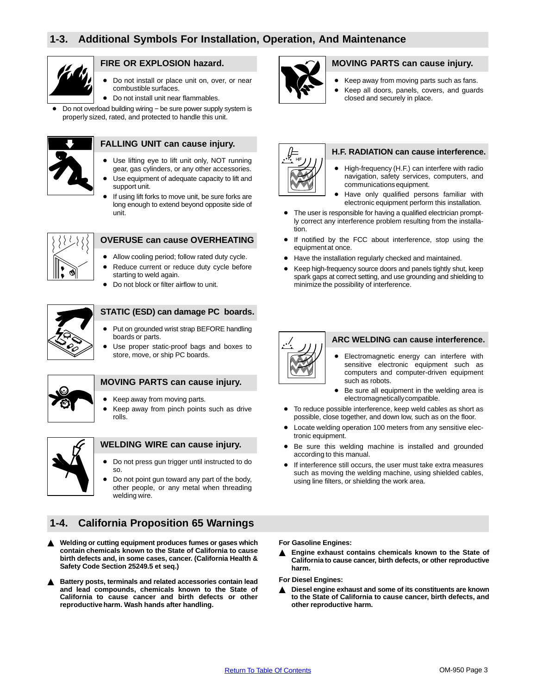<span id="page-6-0"></span>

## **FIRE OR EXPLOSION hazard.**

- Do not install or place unit on, over, or near combustible surfaces.
- $\bullet$  Do not install unit near flammables.

 Do not overload building wiring − be sure power supply system is properly sized, rated, and protected to handle this unit.



# **FALLING UNIT can cause injury.**

- Use lifting eye to lift unit only, NOT running gear, gas cylinders, or any other accessories.
- Use equipment of adequate capacity to lift and support unit.
- If using lift forks to move unit, be sure forks are long enough to extend beyond opposite side of unit.



## **OVERUSE can cause OVERHEATING**

- Allow cooling period; follow rated duty cycle.
- Reduce current or reduce duty cycle before starting to weld again.
- Do not block or filter airflow to unit.



#### **STATIC (ESD) can damage PC boards.**

- Put on grounded wrist strap BEFORE handling boards or parts.
- Use proper static-proof bags and boxes to store, move, or ship PC boards.



#### **MOVING PARTS can cause injury.**

- Keep away from moving parts.
- Keep away from pinch points such as drive rolls.



#### **WELDING WIRE can cause injury.**

- Do not press gun trigger until instructed to do so.
- Do not point gun toward any part of the body, other people, or any metal when threading welding wire.

# **1-4. California Proposition 65 Warnings**

- $\blacktriangle$  **Welding or cutting equipment produces fumes or gases which contain chemicals known to the State of California to cause birth defects and, in some cases, cancer. (California Health & Safety Code Section 25249.5 et seq.)**
- $\blacktriangle$  **Battery posts, terminals and related accessories contain lead and lead compounds, chemicals known to the State of California to cause cancer and birth defects or other reproductive harm. Wash hands after handling.**



# **MOVING PARTS can cause injury.**

- Keep away from moving parts such as fans.
- Keep all doors, panels, covers, and guards closed and securely in place.



#### **H.F. RADIATION can cause interference.**

- High-frequency (H.F.) can interfere with radio navigation, safety services, computers, and communications equipment.
- Have only qualified persons familiar with electronic equipment perform this installation.
- The user is responsible for having a qualified electrician promptly correct any interference problem resulting from the installation.
- If notified by the FCC about interference, stop using the equipment at once.
- Have the installation regularly checked and maintained.
- Keep high-frequency source doors and panels tightly shut, keep spark gaps at correct setting, and use grounding and shielding to minimize the possibility of interference.



#### **ARC WELDING can cause interference.**

- Electromagnetic energy can interfere with sensitive electronic equipment such as computers and computer-driven equipment such as robots.
- Be sure all equipment in the welding area is electromagnetically compatible.
- To reduce possible interference, keep weld cables as short as possible, close together, and down low, such as on the floor.
- Locate welding operation 100 meters from any sensitive electronic equipment.
- Be sure this welding machine is installed and grounded according to this manual.
- If interference still occurs, the user must take extra measures such as moving the welding machine, using shielded cables, using line filters, or shielding the work area.

**For Gasoline Engines:**

▲ Engine exhaust contains chemicals known to the State of **California to cause cancer, birth defects, or other reproductive harm.**

**For Diesel Engines:**

▲ Diesel engine exhaust and some of its constituents are known **to the State of California to cause cancer, birth defects, and other reproductive harm.**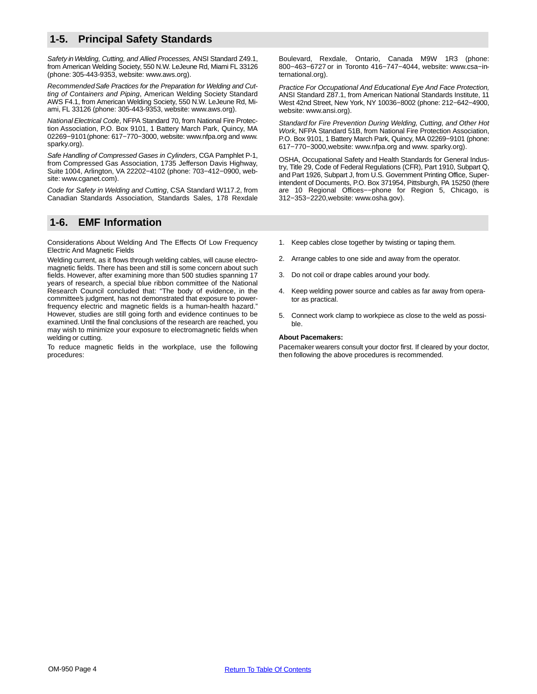# <span id="page-7-0"></span>**1-5. Principal Safety Standards**

Safety in Welding, Cutting, and Allied Processes, ANSI Standard Z49.1, from American Welding Society, 550 N.W. LeJeune Rd, Miami FL 33126 (phone: 305-443-9353, website: www.aws.org).

Recommended Safe Practices for the Preparation for Welding and Cutting of Containers and Piping, American Welding Society Standard AWS F4.1, from American Welding Society, 550 N.W. LeJeune Rd, Miami, FL 33126 (phone: 305-443-9353, website: www.aws.org).

National Electrical Code, NFPA Standard 70, from National Fire Protection Association, P.O. Box 9101, 1 Battery March Park, Quincy, MA 02269−9101 (phone: 617−770−3000, website: www.nfpa.org and www. sparky.org).

Safe Handling of Compressed Gases in Cylinders, CGA Pamphlet P-1, from Compressed Gas Association, 1735 Jefferson Davis Highway, Suite 1004, Arlington, VA 22202−4102 (phone: 703−412−0900, website: www.cganet.com).

Code for Safety in Welding and Cutting, CSA Standard W117.2, from Canadian Standards Association, Standards Sales, 178 Rexdale

# **1-6. EMF Information**

Considerations About Welding And The Effects Of Low Frequency Electric And Magnetic Fields

Welding current, as it flows through welding cables, will cause electromagnetic fields. There has been and still is some concern about such fields. However, after examining more than 500 studies spanning 17 years of research, a special blue ribbon committee of the National Research Council concluded that: "The body of evidence, in the committee's judgment, has not demonstrated that exposure to powerfrequency electric and magnetic fields is a human-health hazard." However, studies are still going forth and evidence continues to be examined. Until the final conclusions of the research are reached, you may wish to minimize your exposure to electromagnetic fields when welding or cutting.

To reduce magnetic fields in the workplace, use the following procedures:

Boulevard, Rexdale, Ontario, Canada M9W 1R3 (phone: 800−463−6727 or in Toronto 416−747−4044, website: www.csa−international.org).

Practice For Occupational And Educational Eye And Face Protection, ANSI Standard Z87.1, from American National Standards Institute, 11 West 42nd Street, New York, NY 10036−8002 (phone: 212−642−4900, website: www.ansi.org).

Standard for Fire Prevention During Welding, Cutting, and Other Hot Work, NFPA Standard 51B, from National Fire Protection Association, P.O. Box 9101, 1 Battery March Park, Quincy, MA 02269−9101 (phone: 617−770−3000, website: www.nfpa.org and www. sparky.org).

OSHA, Occupational Safety and Health Standards for General Industry, Title 29, Code of Federal Regulations (CFR), Part 1910, Subpart Q, and Part 1926, Subpart J, from U.S. Government Printing Office, Superintendent of Documents, P.O. Box 371954, Pittsburgh, PA 15250 (there are 10 Regional Offices−−phone for Region 5, Chicago, is 312−353−2220, website: www.osha.gov).

- 1. Keep cables close together by twisting or taping them.
- Arrange cables to one side and away from the operator.
- 3. Do not coil or drape cables around your body.
- 4. Keep welding power source and cables as far away from operator as practical.
- 5. Connect work clamp to workpiece as close to the weld as possible.

#### **About Pacemakers:**

Pacemaker wearers consult your doctor first. If cleared by your doctor, then following the above procedures is recommended.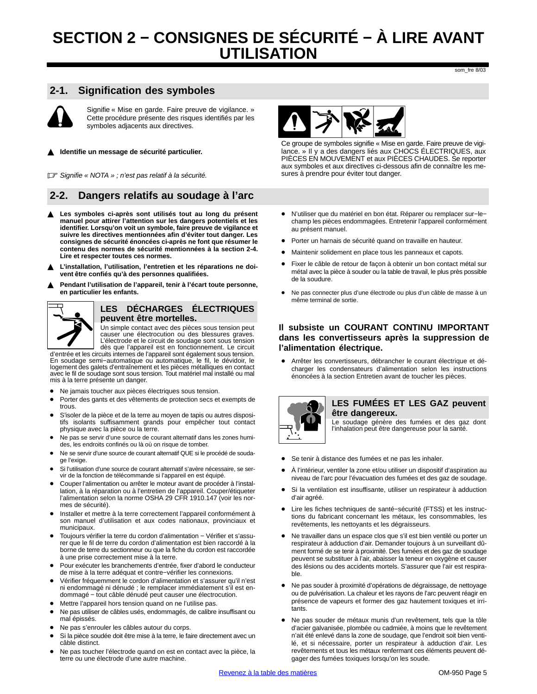# <span id="page-8-0"></span>**SECTION 2 − CONSIGNES DE SÉCURITÉ − À LIRE AVANT UTILISATION**

som\_fre 8/03

# **2-1. Signification des symboles**

Signifie « Mise en garde. Faire preuve de vigilance. » Cette procédure présente des risques identifiés par les symboles adjacents aux directives.

#### $\blacktriangle$ **Identifie un message de sécurité particulier.**

Signifie « NOTA » ; n'est pas relatif à la sécurité.

# **2-2. Dangers relatifs au soudage à l'arc**

- **Les symboles ci-après sont utilisés tout au long du présent manuel pour attirer l'attention sur les dangers potentiels et les identifier. Lorsqu'on voit un symbole, faire preuve de vigilance et suivre les directives mentionnées afin d'éviter tout danger. Les consignes de sécurité énoncées ci-après ne font que résumer le contenu des normes de sécurité mentionnées à la section [2-4.](#page-11-0) Lire et respecter toutes ces normes.**
- $\blacktriangle$  **L'installation, l'utilisation, l'entretien et les réparations ne doivent être confiés qu'à des personnes qualifiées.**
- $\blacktriangle$  **Pendant l'utilisation de l'appareil, tenir à l'écart toute personne, en particulier les enfants.**



## **LES DÉCHARGES ÉLECTRIQUES peuvent être mortelles.**

Un simple contact avec des pièces sous tension peut causer une électrocution ou des blessures graves. L'électrode et le circuit de soudage sont sous tension dès que l'appareil est en fonctionnement. Le circuit d'entrée et les circuits internes de l'appareil sont également sous tension.

En soudage semi−automatique ou automatique, le fil, le dévidoir, le logement des galets d'entraînement et les pièces métalliques en contact avec le fil de soudage sont sous tension. Tout matériel mal installé ou mal mis à la terre présente un danger.

- Ne jamais toucher aux pièces électriques sous tension.
- Porter des gants et des vêtements de protection secs et exempts de trous.
- S'isoler de la pièce et de la terre au moyen de tapis ou autres dispositifs isolants suffisamment grands pour empêcher tout contact physique avec la pièce ou la terre.
- Ne pas se servir d'une source de courant alternatif dans les zones humides, les endroits confinés ou là où on risque de tomber.
- Ne se servir d'une source de courant alternatif QUE si le procédé de soudage l'exige.
- Si l'utilisation d'une source de courant alternatif s'avère nécessaire, se servir de la fonction de télécommande si l'appareil en est équipé.
- Couper l'alimentation ou arrêter le moteur avant de procéder à l'installation, à la réparation ou à l'entretien de l'appareil. Couper/étiqueter l'alimentation selon la norme OSHA 29 CFR 1910.147 (voir les normes de sécurité).
- Installer et mettre à la terre correctement l'appareil conformément à son manuel d'utilisation et aux codes nationaux, provinciaux et municipaux.
- Toujours vérifier la terre du cordon d'alimentation − Vérifier et s'assurer que le fil de terre du cordon d'alimentation est bien raccordé à la borne de terre du sectionneur ou que la fiche du cordon est raccordée à une prise correctement mise à la terre.
- Pour exécuter les branchements d'entrée, fixer d'abord le conducteur de mise à la terre adéquat et contre−vérifier les connexions.
- Vérifier fréquemment le cordon d'alimentation et s'assurer qu'il n'est ni endommagé ni dénudé ; le remplacer immédiatement s'il est endommagé − tout câble dénudé peut causer une électrocution.
- Mettre l'appareil hors tension quand on ne l'utilise pas.
- Ne pas utiliser de câbles usés, endommagés, de calibre insuffisant ou mal épissés.
- Ne pas s'enrouler les câbles autour du corps.
- Si la pièce soudée doit être mise à la terre, le faire directement avec un câble distinct.
- Ne pas toucher l'électrode quand on est en contact avec la pièce, la terre ou une électrode d'une autre machine.



Ce groupe de symboles signifie « Mise en garde. Faire preuve de vigilance. » Il y a des dangers liés aux CHOCS ÉLECTRIQUES, aux PIÈCES EN MOUVEMENT et aux PIÈCES CHAUDES. Se reporter aux symboles et aux directives ci-dessous afin de connaître les mesures à prendre pour éviter tout danger.

- N'utiliser que du matériel en bon état. Réparer ou remplacer sur−le− champ les pièces endommagées. Entretenir l'appareil conformément au présent manuel.
- Porter un harnais de sécurité quand on travaille en hauteur.
- Maintenir solidement en place tous les panneaux et capots.
- Fixer le câble de retour de façon à obtenir un bon contact métal sur métal avec la pièce à souder ou la table de travail, le plus près possible de la soudure.
- Ne pas connecter plus d'une électrode ou plus d'un câble de masse à un même terminal de sortie.

#### **Il subsiste un COURANT CONTINU IMPORTANT dans les convertisseurs après la suppression de l'alimentation électrique.**

 Arrêter les convertisseurs, débrancher le courant électrique et décharger les condensateurs d'alimentation selon les instructions énoncées à la section Entretien avant de toucher les pièces.



#### **LES FUMÉES ET LES GAZ peuvent être dangereux.**

Le soudage génère des fumées et des gaz dont l'inhalation peut être dangereuse pour la santé.

- Se tenir à distance des fumées et ne pas les inhaler.
- À l'intérieur, ventiler la zone et/ou utiliser un dispositif d'aspiration au niveau de l'arc pour l'évacuation des fumées et des gaz de soudage.
- Si la ventilation est insuffisante, utiliser un respirateur à adduction d'air agréé.
- Lire les fiches techniques de santé−sécurité (FTSS) et les instructions du fabricant concernant les métaux, les consommables, les revêtements, les nettoyants et les dégraisseurs.
- Ne travailler dans un espace clos que s'il est bien ventilé ou porter un respirateur à adduction d'air. Demander toujours à un surveillant dûment formé de se tenir à proximité. Des fumées et des gaz de soudage peuvent se substituer à l'air, abaisser la teneur en oxygène et causer des lésions ou des accidents mortels. S'assurer que l'air est respirable.
- Ne pas souder à proximité d'opérations de dégraissage, de nettoyage ou de pulvérisation. La chaleur et les rayons de l'arc peuvent réagir en présence de vapeurs et former des gaz hautement toxiques et irritants.
- Ne pas souder de métaux munis d'un revêtement, tels que la tôle d'acier galvanisée, plombée ou cadmiée, à moins que le revêtement n'ait été enlevé dans la zone de soudage, que l'endroit soit bien ventilé, et si nécessaire, porter un respirateur à adduction d'air. Les revêtements et tous les métaux renfermant ces éléments peuvent dégager des fumées toxiques lorsqu'on les soude.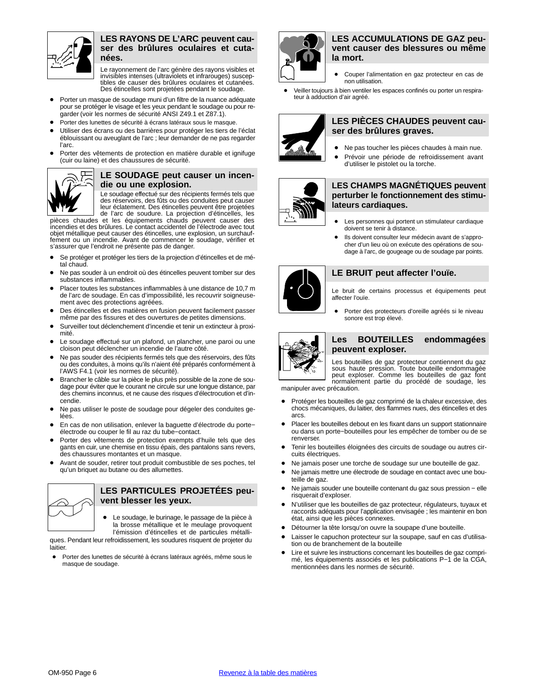

#### **LES RAYONS DE L'ARC peuvent causer des brûlures oculaires et cutanées.**

Le rayonnement de l'arc génère des rayons visibles et invisibles intenses (ultraviolets et infrarouges) susceptibles de causer des brûlures oculaires et cutanées. Des étincelles sont projetées pendant le soudage.

- Porter un masque de soudage muni d'un filtre de la nuance adéquate pour se protéger le visage et les yeux pendant le soudage ou pour regarder (voir les normes de sécurité ANSI Z49.1 et Z87.1).
- Porter des lunettes de sécurité à écrans latéraux sous le masque.
- Utiliser des écrans ou des barrières pour protéger les tiers de l'éclat éblouissant ou aveuglant de l'arc ; leur demander de ne pas regarder l'arc.
- Porter des vêtements de protection en matière durable et ignifuge (cuir ou laine) et des chaussures de sécurité.



#### **LE SOUDAGE peut causer un incendie ou une explosion.**

Le soudage effectué sur des récipients fermés tels que des réservoirs, des fûts ou des conduites peut causer leur éclatement. Des étincelles peuvent être projetées de l'arc de soudure. La projection d'étincelles, les

pièces chaudes et les équipements chauds peuvent causer des incendies et des brûlures. Le contact accidentel de l'électrode avec tout objet métallique peut causer des étincelles, une explosion, un surchauffement ou un incendie. Avant de commencer le soudage, vérifier et s'assurer que l'endroit ne présente pas de danger.

- Se protéger et protéger les tiers de la projection d'étincelles et de métal chaud.
- Ne pas souder à un endroit où des étincelles peuvent tomber sur des substances inflammables.
- Placer toutes les substances inflammables à une distance de 10,7 m de l'arc de soudage. En cas d'impossibilité, les recouvrir soigneusement avec des protections agréées.
- Des étincelles et des matières en fusion peuvent facilement passer même par des fissures et des ouvertures de petites dimensions.
- Surveiller tout déclenchement d'incendie et tenir un extincteur à proximité.
- Le soudage effectué sur un plafond, un plancher, une paroi ou une cloison peut déclencher un incendie de l'autre côté.
- Ne pas souder des récipients fermés tels que des réservoirs, des fûts ou des conduites, à moins qu'ils n'aient été préparés conformément à l'AWS F4.1 (voir les normes de sécurité).
- Brancher le câble sur la pièce le plus près possible de la zone de soudage pour éviter que le courant ne circule sur une longue distance, par des chemins inconnus, et ne cause des risques d'électrocution et d'incendie.
- Ne pas utiliser le poste de soudage pour dégeler des conduites gelées.
- En cas de non utilisation, enlever la baguette d'électrode du porte− électrode ou couper le fil au raz du tube−contact.
- Porter des vêtements de protection exempts d'huile tels que des gants en cuir, une chemise en tissu épais, des pantalons sans revers, des chaussures montantes et un masque.
- Avant de souder, retirer tout produit combustible de ses poches, tel qu'un briquet au butane ou des allumettes.



#### **LES PARTICULES PROJETÉES peuvent blesser les yeux.**

 Le soudage, le burinage, le passage de la pièce à la brosse métallique et le meulage provoquent l'émission d'étincelles et de particules métalli-

ques. Pendant leur refroidissement, les soudures risquent de projeter du laitier.

 Porter des lunettes de sécurité à écrans latéraux agréés, même sous le masque de soudage.



#### **LES ACCUMULATIONS DE GAZ peuvent causer des blessures ou même la mort.**

- Couper l'alimentation en gaz protecteur en cas de non utilisation.
- Veiller toujours à bien ventiler les espaces confinés ou porter un respirateur à adduction d'air agréé.



#### **LES PIÈCES CHAUDES peuvent causer des brûlures graves.**

- Ne pas toucher les pièces chaudes à main nue.
- Prévoir une période de refroidissement avant d'utiliser le pistolet ou la torche.



#### **LES CHAMPS MAGNÉTIQUES peuvent perturber le fonctionnement des stimulateurs cardiaques.**

- Les personnes qui portent un stimulateur cardiaque doivent se tenir à distance.
- Ils doivent consulter leur médecin avant de s'approcher d'un lieu où on exécute des opérations de soudage à l'arc, de gougeage ou de soudage par points.



#### **LE BRUIT peut affecter l'ouïe.**

Le bruit de certains processus et équipements peut affecter l'ouïe.

 Porter des protecteurs d'oreille agréés si le niveau sonore est trop élevé.



#### **Les BOUTEILLES endommagées peuvent exploser.**

Les bouteilles de gaz protecteur contiennent du gaz sous haute pression. Toute bouteille endommagée peut exploser. Comme les bouteilles de gaz font normalement partie du procédé de soudage, les

manipuler avec précaution.

- Protéger les bouteilles de gaz comprimé de la chaleur excessive, des chocs mécaniques, du laitier, des flammes nues, des étincelles et des arcs.
- Placer les bouteilles debout en les fixant dans un support stationnaire ou dans un porte−bouteilles pour les empêcher de tomber ou de se renverser.
- Tenir les bouteilles éloignées des circuits de soudage ou autres circuits électriques.
- Ne jamais poser une torche de soudage sur une bouteille de gaz.
- Ne jamais mettre une électrode de soudage en contact avec une bouteille de gaz.
- Ne jamais souder une bouteille contenant du gaz sous pression − elle risquerait d'exploser.
- N'utiliser que les bouteilles de gaz protecteur, régulateurs, tuyaux et raccords adéquats pour l'application envisagée ; les maintenir en bon état, ainsi que les pièces connexes.
- Détourner la tête lorsqu'on ouvre la soupape d'une bouteille.
- Laisser le capuchon protecteur sur la soupape, sauf en cas d'utilisation ou de branchement de la bouteille
- Lire et suivre les instructions concernant les bouteilles de gaz comprimé, les équipements associés et les publications P−1 de la CGA, mentionnées dans les normes de sécurité.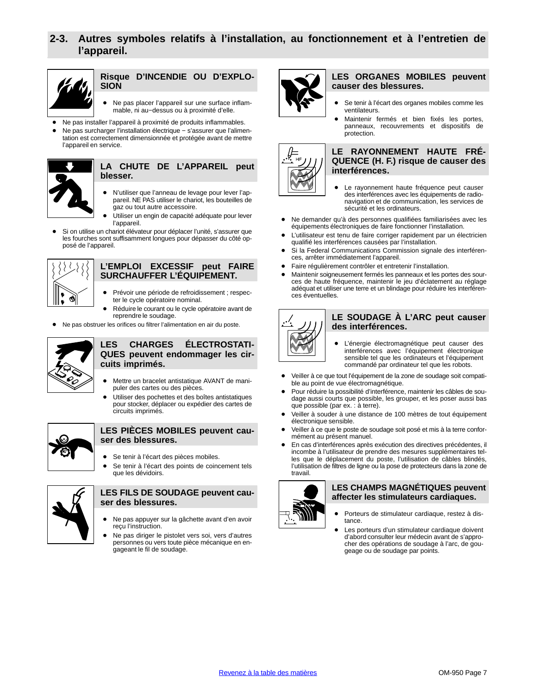# <span id="page-10-0"></span>**2-3. Autres symboles relatifs à l'installation, au fonctionnement et à l'entretien de l'appareil.**



#### **Risque D'INCENDIE OU D'EXPLO-SION**

- Ne pas placer l'appareil sur une surface inflammable, ni au−dessus ou à proximité d'elle.
- Ne pas installer l'appareil à proximité de produits inflammables.
- Ne pas surcharger l'installation électrique − s'assurer que l'alimentation est correctement dimensionnée et protégée avant de mettre l'appareil en service.



#### **LA CHUTE DE L'APPAREIL peut blesser.**

- N'utiliser que l'anneau de levage pour lever l'appareil. NE PAS utiliser le chariot, les bouteilles de gaz ou tout autre accessoire.
- Utiliser un engin de capacité adéquate pour lever l'appareil.
- Si on utilise un chariot élévateur pour déplacer l'unité, s'assurer que les fourches sont suffisamment longues pour dépasser du côté opposé de l'appareil.



#### **L'EMPLOI EXCESSIF peut FAIRE SURCHAUFFER L'ÉQUIPEMENT.**

- Prévoir une période de refroidissement ; respecter le cycle opératoire nominal.
- Réduire le courant ou le cycle opératoire avant de reprendre le soudage.
- Ne pas obstruer les orifices ou filtrer l'alimentation en air du poste.



## **LES CHARGES ÉLECTROSTATI-QUES peuvent endommager les circuits imprimés.**

- Mettre un bracelet antistatique AVANT de manipuler des cartes ou des pièces.
- Utiliser des pochettes et des boîtes antistatiques pour stocker, déplacer ou expédier des cartes de circuits imprimés.



#### **LES PIÈCES MOBILES peuvent causer des blessures.**

- Se tenir à l'écart des pièces mobiles.
- Se tenir à l'écart des points de coincement tels que les dévidoirs.



#### **LES FILS DE SOUDAGE peuvent causer des blessures.**

- Ne pas appuyer sur la gâchette avant d'en avoir reçu l'instruction.
- Ne pas diriger le pistolet vers soi, vers d'autres personnes ou vers toute pièce mécanique en engageant le fil de soudage.



#### **LES ORGANES MOBILES peuvent causer des blessures.**

- Se tenir à l'écart des organes mobiles comme les ventilateurs.
- Maintenir fermés et bien fixés les portes, panneaux, recouvrements et dispositifs de protection.



#### **LE RAYONNEMENT HAUTE FRÉ-QUENCE (H. F.) risque de causer des interférences.**

- Le rayonnement haute fréquence peut causer des interférences avec les équipements de radionavigation et de communication, les services de sécurité et les ordinateurs.
- Ne demander qu'à des personnes qualifiées familiarisées avec les équipements électroniques de faire fonctionner l'installation.
- L'utilisateur est tenu de faire corriger rapidement par un électricien qualifié les interférences causées par l'installation.
- Si la Federal Communications Commission signale des interférences, arrêter immédiatement l'appareil.
- Faire régulièrement contrôler et entretenir l'installation.
- Maintenir soigneusement fermés les panneaux et les portes des sources de haute fréquence, maintenir le jeu d'éclatement au réglage adéquat et utiliser une terre et un blindage pour réduire les interférences éventuelles.



#### **LE SOUDAGE À L'ARC peut causer des interférences.**

- L'énergie électromagnétique peut causer des interférences avec l'équipement électronique sensible tel que les ordinateurs et l'équipement commandé par ordinateur tel que les robots.
- Veiller à ce que tout l'équipement de la zone de soudage soit compatible au point de vue électromagnétique.
- Pour réduire la possibilité d'interférence, maintenir les câbles de soudage aussi courts que possible, les grouper, et les poser aussi bas que possible (par ex. : à terre).
- Veiller à souder à une distance de 100 mètres de tout équipement électronique sensible.
- Veiller à ce que le poste de soudage soit posé et mis à la terre conformément au présent manuel.
- En cas d'interférences après exécution des directives précédentes, il incombe à l'utilisateur de prendre des mesures supplémentaires telles que le déplacement du poste, l'utilisation de câbles blindés, l'utilisation de filtres de ligne ou la pose de protecteurs dans la zone de travail.



#### **LES CHAMPS MAGNÉTIQUES peuvent affecter les stimulateurs cardiaques.**

- Porteurs de stimulateur cardiaque, restez à distance.
- Les porteurs d'un stimulateur cardiaque doivent d'abord consulter leur médecin avant de s'approcher des opérations de soudage à l'arc, de gougeage ou de soudage par points.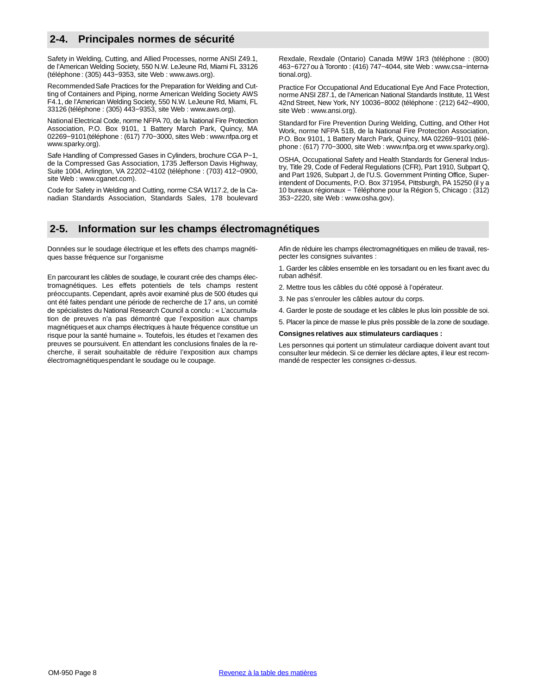# <span id="page-11-0"></span>**2-4. Principales normes de sécurité**

Safety in Welding, Cutting, and Allied Processes, norme ANSI Z49.1, de l'American Welding Society, 550 N.W. LeJeune Rd, Miami FL 33126 (téléphone : (305) 443−9353, site Web : www.aws.org).

Recommended Safe Practices for the Preparation for Welding and Cutting of Containers and Piping, norme American Welding Society AWS F4.1, de l'American Welding Society, 550 N.W. LeJeune Rd, Miami, FL 33126 (téléphone : (305) 443−9353, site Web : www.aws.org).

National Electrical Code, norme NFPA 70, de la National Fire Protection Association, P.O. Box 9101, 1 Battery March Park, Quincy, MA 02269−9101 (téléphone : (617) 770−3000, sites Web : www.nfpa.org et www.sparky.org).

Safe Handling of Compressed Gases in Cylinders, brochure CGA P−1, de la Compressed Gas Association, 1735 Jefferson Davis Highway, Suite 1004, Arlington, VA 22202−4102 (téléphone : (703) 412−0900, site Web : www.cganet.com).

Code for Safety in Welding and Cutting, norme CSA W117.2, de la Canadian Standards Association, Standards Sales, 178 boulevard

# **2-5. Information sur les champs électromagnétiques**

Données sur le soudage électrique et les effets des champs magnétiques basse fréquence sur l'organisme

En parcourant les câbles de soudage, le courant crée des champs électromagnétiques. Les effets potentiels de tels champs restent préoccupants. Cependant, après avoir examiné plus de 500 études qui ont été faites pendant une période de recherche de 17 ans, un comité de spécialistes du National Research Council a conclu : « L'accumulation de preuves n'a pas démontré que l'exposition aux champs magnétiques et aux champs électriques à haute fréquence constitue un risque pour la santé humaine ». Toutefois, les études et l'examen des preuves se poursuivent. En attendant les conclusions finales de la recherche, il serait souhaitable de réduire l'exposition aux champs électromagnétiques pendant le soudage ou le coupage.

Rexdale, Rexdale (Ontario) Canada M9W 1R3 (téléphone : (800) 463−6727 ou à Toronto : (416) 747−4044, site Web : www.csa−international.org).

Practice For Occupational And Educational Eye And Face Protection, norme ANSI Z87.1, de l'American National Standards Institute, 11 West 42nd Street, New York, NY 10036−8002 (téléphone : (212) 642−4900, site Web : www.ansi.org).

Standard for Fire Prevention During Welding, Cutting, and Other Hot Work, norme NFPA 51B, de la National Fire Protection Association, P.O. Box 9101, 1 Battery March Park, Quincy, MA 02269−9101 (téléphone : (617) 770−3000, site Web : www.nfpa.org et www.sparky.org).

OSHA, Occupational Safety and Health Standards for General Industry, Title 29, Code of Federal Regulations (CFR), Part 1910, Subpart Q, and Part 1926, Subpart J, de l'U.S. Government Printing Office, Superintendent of Documents, P.O. Box 371954, Pittsburgh, PA 15250 (il y a 10 bureaux régionaux − Téléphone pour la Région 5, Chicago : (312) 353−2220, site Web : www.osha.gov).

Afin de réduire les champs électromagnétiques en milieu de travail, respecter les consignes suivantes :

1. Garder les câbles ensemble en les torsadant ou en les fixant avec du ruban adhésif.

- 2. Mettre tous les câbles du côté opposé à l'opérateur.
- 3. Ne pas s'enrouler les câbles autour du corps.
- 4. Garder le poste de soudage et les câbles le plus loin possible de soi.

5. Placer la pince de masse le plus près possible de la zone de soudage.

#### **Consignes relatives aux stimulateurs cardiaques :**

Les personnes qui portent un stimulateur cardiaque doivent avant tout consulter leur médecin. Si ce dernier les déclare aptes, il leur est recommandé de respecter les consignes ci-dessus.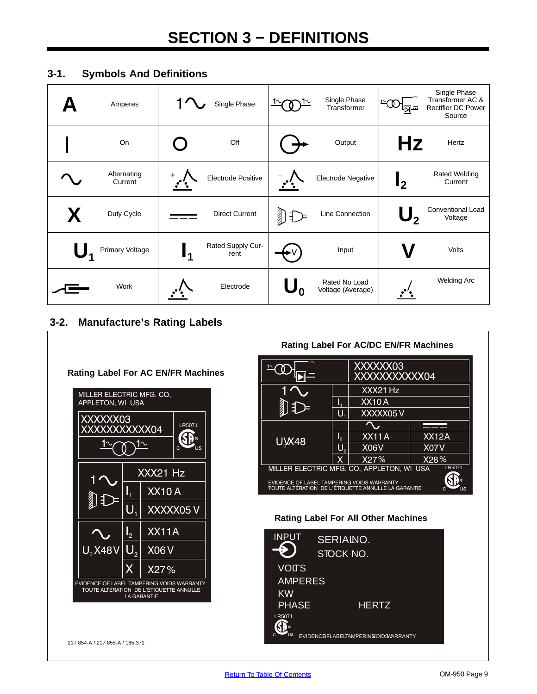# <span id="page-12-0"></span>**3-1. Symbols And Definitions**

| Amperes                |    | Single Phase              |                | Single Phase<br>Transformer        |                | Single Phase<br>Transformer AC &<br><b>Rectifier DC Power</b><br>Source |
|------------------------|----|---------------------------|----------------|------------------------------------|----------------|-------------------------------------------------------------------------|
| On                     |    | Off                       |                | Output                             | Hz             | Hertz                                                                   |
| Alternating<br>Current |    | Electrode Positive        |                | Electrode Negative                 | $\mathbf{l}_2$ | <b>Rated Welding</b><br>Current                                         |
| Duty Cycle             |    | <b>Direct Current</b>     | $\n  D\n$      | Line Connection                    | $\mathsf{U}_2$ | <b>Conventional Load</b><br>Voltage                                     |
| Primary Voltage        | 14 | Rated Supply Cur-<br>rent |                | Input                              |                | Volts                                                                   |
| Work                   |    | Electrode                 | $\mathbf{U_0}$ | Rated No Load<br>Voltage (Average) |                | <b>Welding Arc</b>                                                      |

# **3-2. Manufacture's Rating Labels**

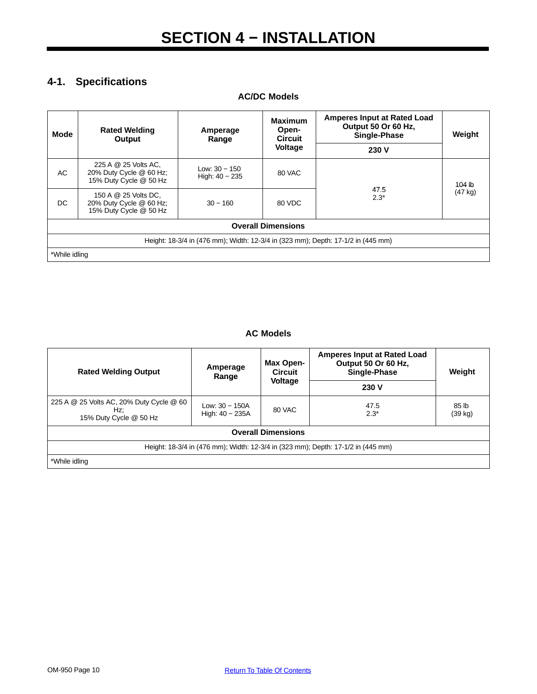# <span id="page-13-0"></span>**4-1. Specifications**

| <b>AC/DC Models</b> |                                                                           |                                           |                                                                           |                                                                                  |                   |  |
|---------------------|---------------------------------------------------------------------------|-------------------------------------------|---------------------------------------------------------------------------|----------------------------------------------------------------------------------|-------------------|--|
| <b>Mode</b>         | <b>Rated Welding</b><br>Amperage<br>Output<br>Range                       | <b>Maximum</b><br>Open-<br><b>Circuit</b> | <b>Amperes Input at Rated Load</b><br>Output 50 Or 60 Hz,<br>Single-Phase | Weight                                                                           |                   |  |
|                     |                                                                           |                                           | Voltage                                                                   | 230 V                                                                            |                   |  |
| AC                  | 225 A @ 25 Volts AC,<br>20% Duty Cycle @ 60 Hz;<br>15% Duty Cycle @ 50 Hz | Low: $30 - 150$<br>High: $40 - 235$       | 80 VAC                                                                    |                                                                                  | 104 lb            |  |
| DC                  | 150 A @ 25 Volts DC,<br>20% Duty Cycle @ 60 Hz;<br>15% Duty Cycle @ 50 Hz | $30 - 160$                                | 80 VDC                                                                    | 47.5<br>$2.3*$                                                                   | $(47 \text{ kg})$ |  |
|                     |                                                                           |                                           | <b>Overall Dimensions</b>                                                 |                                                                                  |                   |  |
|                     |                                                                           |                                           |                                                                           | Height: 18-3/4 in (476 mm); Width: 12-3/4 in (323 mm); Depth: 17-1/2 in (445 mm) |                   |  |
| *While idling       |                                                                           |                                           |                                                                           |                                                                                  |                   |  |

# **AC Models**

| <b>Rated Welding Output</b>                                                      | Amperage<br>Range                     | Max Open-<br><b>Circuit</b><br><b>Voltage</b> | <b>Amperes Input at Rated Load</b><br>Output 50 Or 60 Hz,<br>Single-Phase<br>230 V | Weight           |
|----------------------------------------------------------------------------------|---------------------------------------|-----------------------------------------------|------------------------------------------------------------------------------------|------------------|
| 225 A @ 25 Volts AC, 20% Duty Cycle @ 60<br>Hz:<br>15% Duty Cycle @ 50 Hz        | Low: $30 - 150A$<br>High: $40 - 235A$ | 80 VAC                                        | 47.5<br>$2.3*$                                                                     | 85 lb<br>(39 kg) |
| <b>Overall Dimensions</b>                                                        |                                       |                                               |                                                                                    |                  |
| Height: 18-3/4 in (476 mm); Width: 12-3/4 in (323 mm); Depth: 17-1/2 in (445 mm) |                                       |                                               |                                                                                    |                  |
| *While idling                                                                    |                                       |                                               |                                                                                    |                  |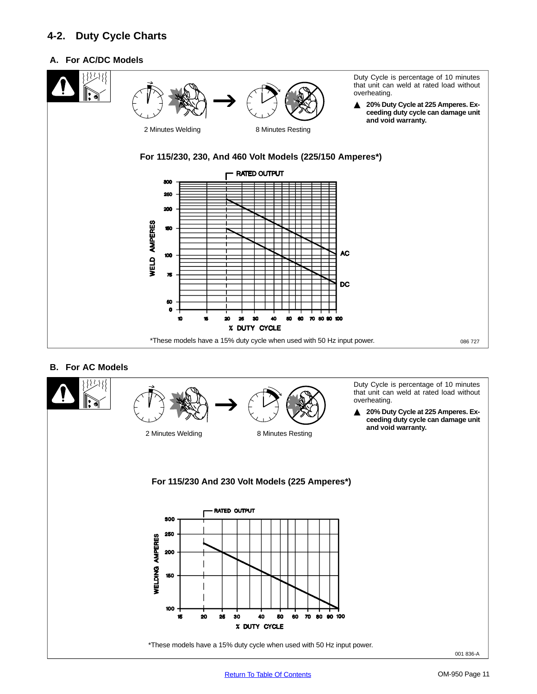# <span id="page-14-0"></span>**4-2. Duty Cycle Charts**

# **A. For AC/DC Models**



## **B. For AC Models**

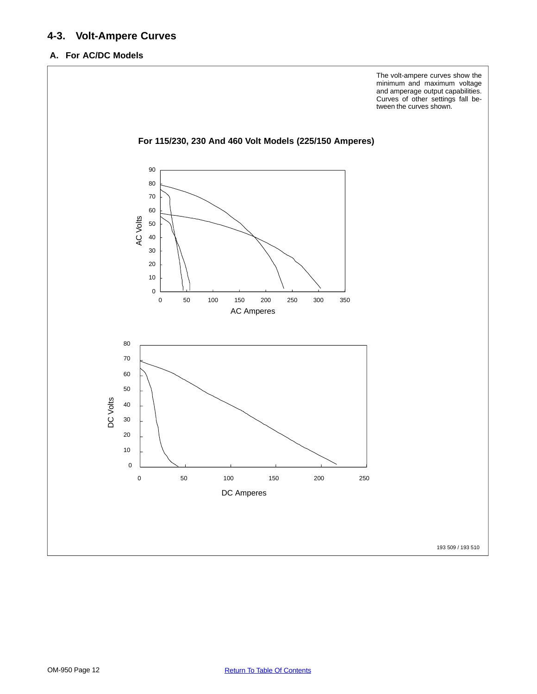# <span id="page-15-0"></span>**4-3. Volt-Ampere Curves**

# **A. For AC/DC Models**

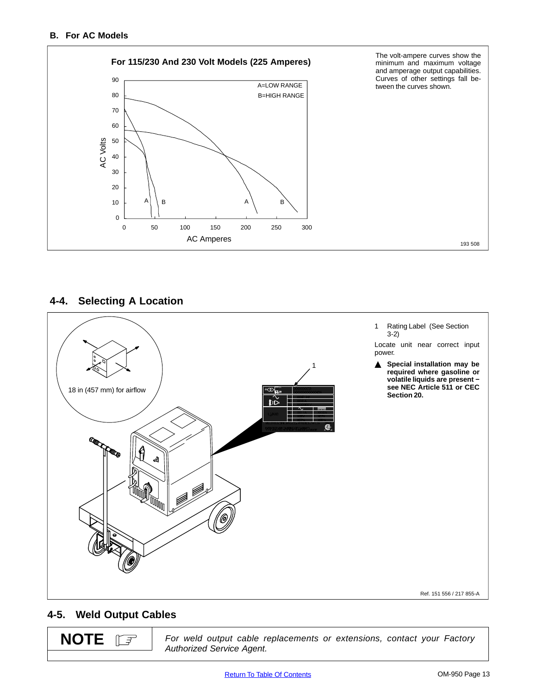<span id="page-16-0"></span>

**4-4. Selecting A Location**



# **4-5. Weld Output Cables**

**NOTE** $\mathbb{E}$ 

For weld output cable replacements or extensions, contact your Factory Authorized Service Agent.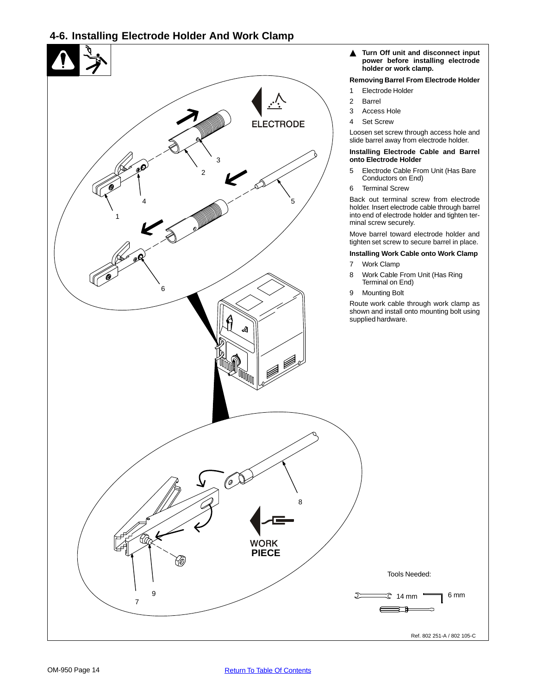# <span id="page-17-0"></span>**4-6. Installing Electrode Holder And Work Clamp**

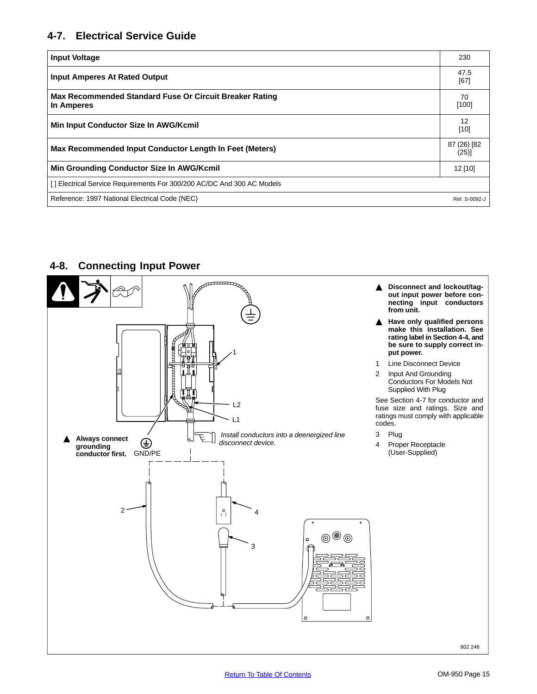# <span id="page-18-0"></span>**4-7. Electrical Service Guide**

| <b>Input Voltage</b>                                                   | 230           |
|------------------------------------------------------------------------|---------------|
| <b>Input Amperes At Rated Output</b>                                   | 47.5<br>[67]  |
| Max Recommended Standard Fuse Or Circuit Breaker Rating<br>In Amperes  | 70<br>$[100]$ |
| Min Input Conductor Size In AWG/Kcmil                                  | 12<br>$[10]$  |
| Max Recommended Input Conductor Length In Feet (Meters)                |               |
| Min Grounding Conductor Size In AWG/Kcmil                              | $12$ [10]     |
| [] Electrical Service Requirements For 300/200 AC/DC And 300 AC Models |               |
| Reference: 1997 National Electrical Code (NEC)                         | Ref. S-0092-J |

# **4-8. Connecting Input Power**

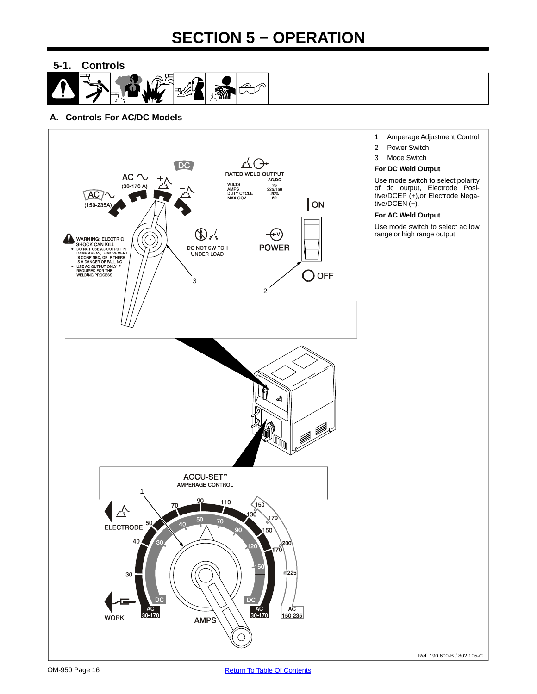# **SECTION 5 − OPERATION**

<span id="page-19-0"></span>**5-1. Controls**

# **A. Controls For AC/DC Models**

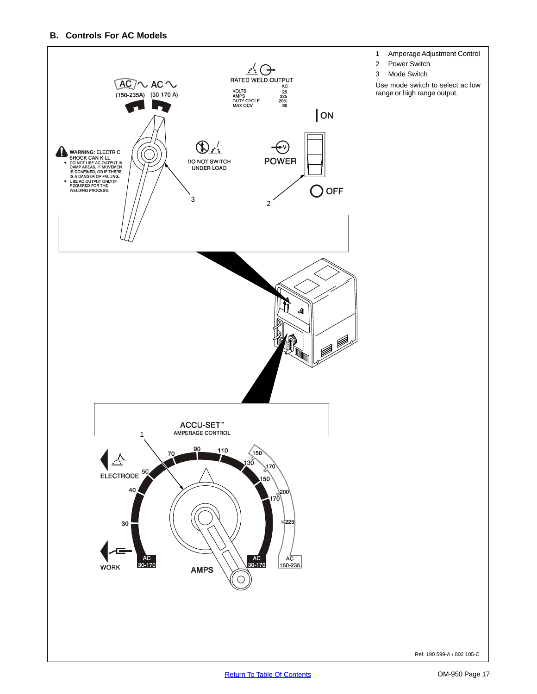## **B. Controls For AC Models**

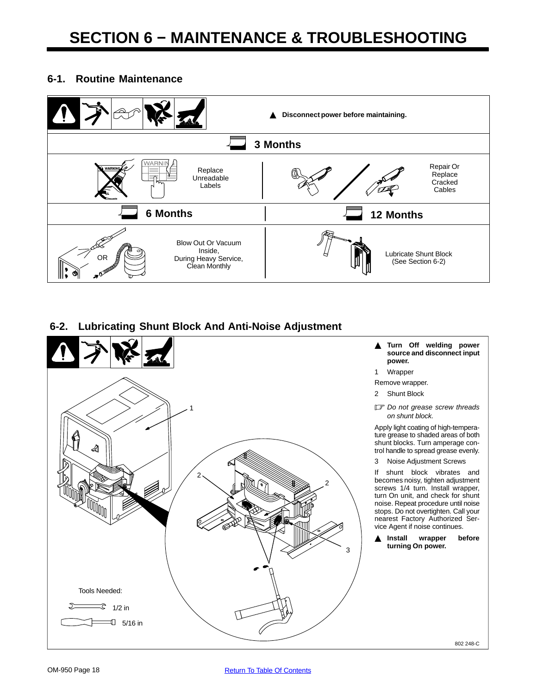# <span id="page-21-0"></span>**6-1. Routine Maintenance**



# **6-2. Lubricating Shunt Block And Anti-Noise Adjustment**

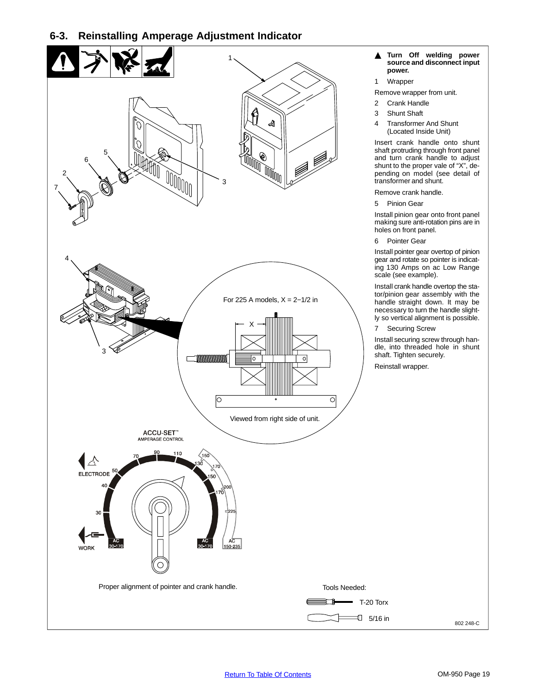# <span id="page-22-0"></span>**6-3. Reinstalling Amperage Adjustment Indicator**

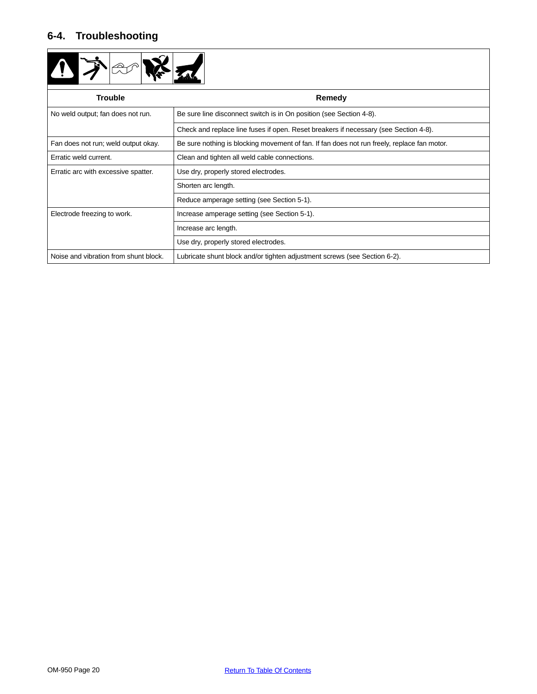# <span id="page-23-0"></span>**6-4. Troubleshooting**



| <b>Trouble</b>                        | Remedy                                                                                      |  |  |
|---------------------------------------|---------------------------------------------------------------------------------------------|--|--|
| No weld output; fan does not run.     | Be sure line disconnect switch is in On position (see Section 4-8).                         |  |  |
|                                       | Check and replace line fuses if open. Reset breakers if necessary (see Section 4-8).        |  |  |
| Fan does not run; weld output okay.   | Be sure nothing is blocking movement of fan. If fan does not run freely, replace fan motor. |  |  |
| Erratic weld current.                 | Clean and tighten all weld cable connections.                                               |  |  |
| Erratic arc with excessive spatter.   | Use dry, properly stored electrodes.                                                        |  |  |
|                                       | Shorten arc length.                                                                         |  |  |
|                                       | Reduce amperage setting (see Section 5-1).                                                  |  |  |
| Electrode freezing to work.           | Increase amperage setting (see Section 5-1).                                                |  |  |
|                                       | Increase arc length.                                                                        |  |  |
|                                       | Use dry, properly stored electrodes.                                                        |  |  |
| Noise and vibration from shunt block. | Lubricate shunt block and/or tighten adjustment screws (see Section 6-2).                   |  |  |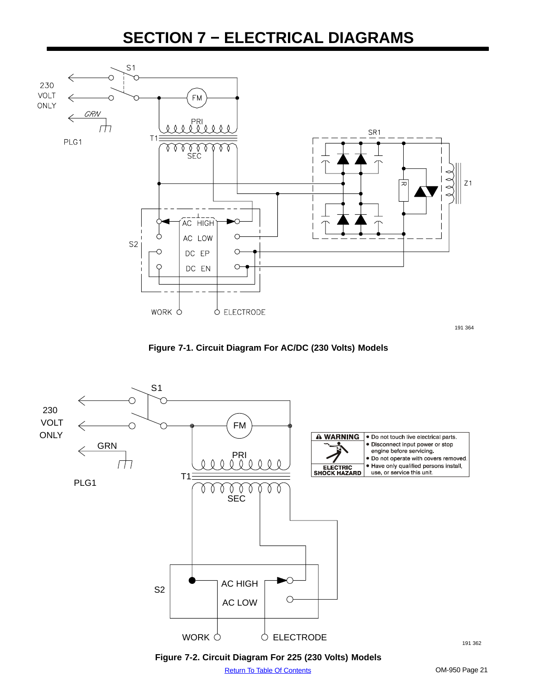# **SECTION 7 − ELECTRICAL DIAGRAMS**

<span id="page-24-0"></span>

191 364





**Figure 7-2. Circuit Diagram For 225 (230 Volts) Models**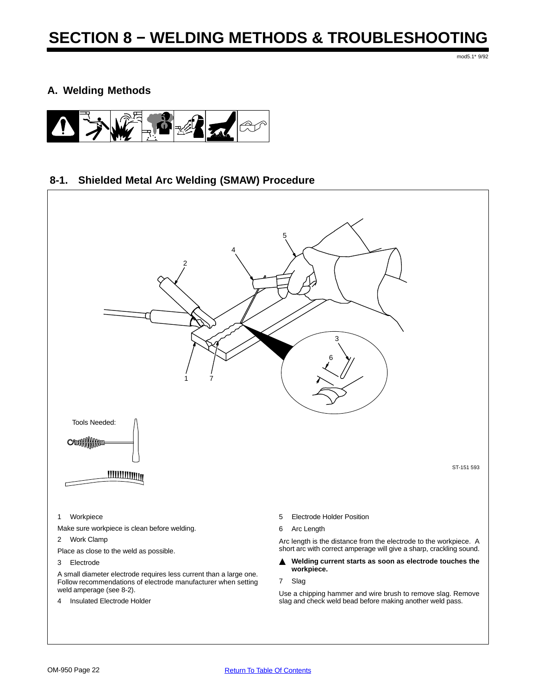mod5.1\* 9/92

# <span id="page-25-0"></span>**A. Welding Methods**



# **8-1. Shielded Metal Arc Welding (SMAW) Procedure**



Use a chipping hammer and wire brush to remove slag. Remove slag and check weld bead before making another weld pass.

4 Insulated Electrode Holder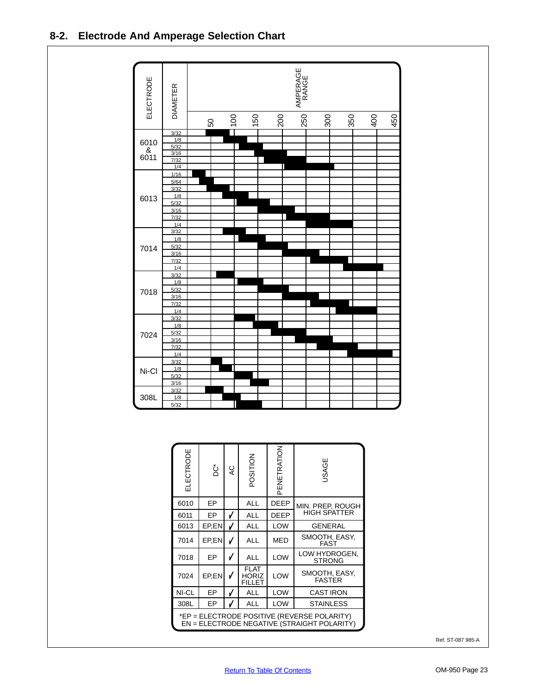<span id="page-26-0"></span>

| ELECTRODE                                                                                  | ڻ     | 9 | POSITION                              | PENETRATION | <b>ISAGE</b>                   |
|--------------------------------------------------------------------------------------------|-------|---|---------------------------------------|-------------|--------------------------------|
| 6010                                                                                       | EP    |   | <b>ALL</b>                            | <b>DEEP</b> | MIN. PREP, ROUGH               |
| 6011                                                                                       | EP    | V | ALL                                   | <b>DEEP</b> | <b>HIGH SPATTER</b>            |
| 6013                                                                                       | EP,EN | √ | <b>ALL</b>                            | <b>LOW</b>  | <b>GENERAL</b>                 |
| 7014                                                                                       | EP,EN | V | <b>ALL</b>                            | <b>MED</b>  | SMOOTH, EASY,<br>FAST          |
| 7018                                                                                       | EP    | V | <b>ALL</b>                            | <b>LOW</b>  | LOW HYDROGEN,<br><b>STRONG</b> |
| 7024                                                                                       | EP.EN | V | FLAT<br><b>HORIZ</b><br><b>FILLET</b> | LOW         | SMOOTH, EASY,<br><b>FASTER</b> |
| NI-CL                                                                                      | EP    | V | <b>ALL</b>                            | <b>LOW</b>  | <b>CAST IRON</b>               |
| 308L                                                                                       | EP    | v | ALL                                   | <b>LOW</b>  | <b>STAINLESS</b>               |
| *EP = ELECTRODE POSITIVE (REVERSE POLARITY)<br>EN = ELECTRODE NEGATIVE (STRAIGHT POLARITY) |       |   |                                       |             |                                |

Ref. ST-087 985-A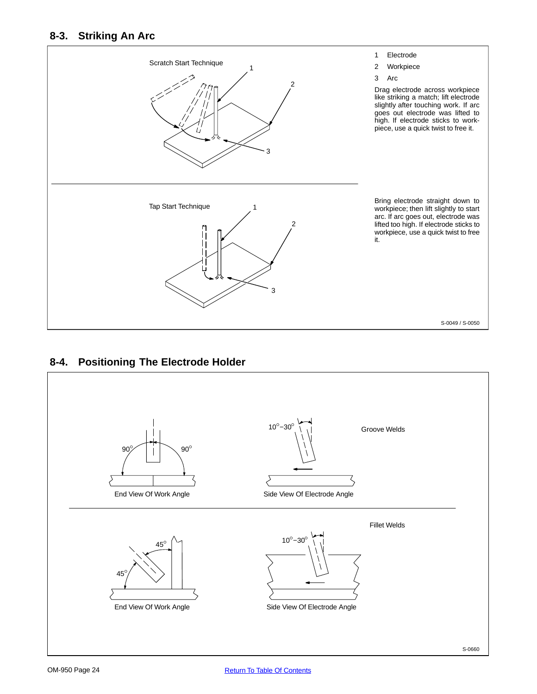# <span id="page-27-0"></span>**8-3. Striking An Arc**



# **8-4. Positioning The Electrode Holder**

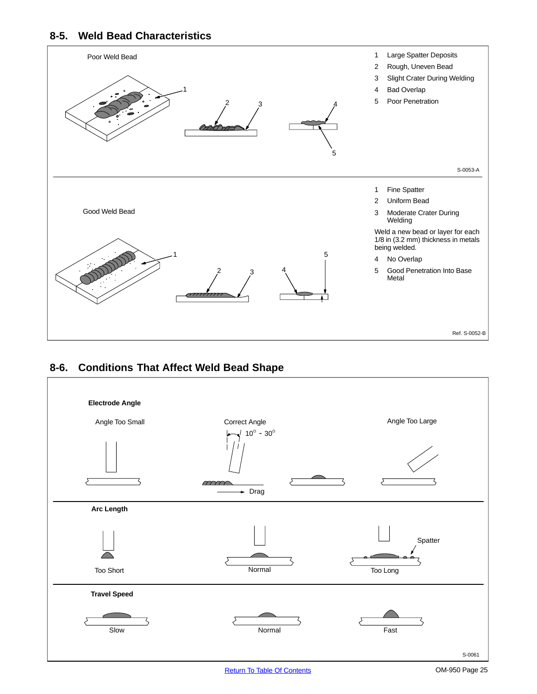# <span id="page-28-0"></span>**8-5. Weld Bead Characteristics**



# **8-6. Conditions That Affect Weld Bead Shape**

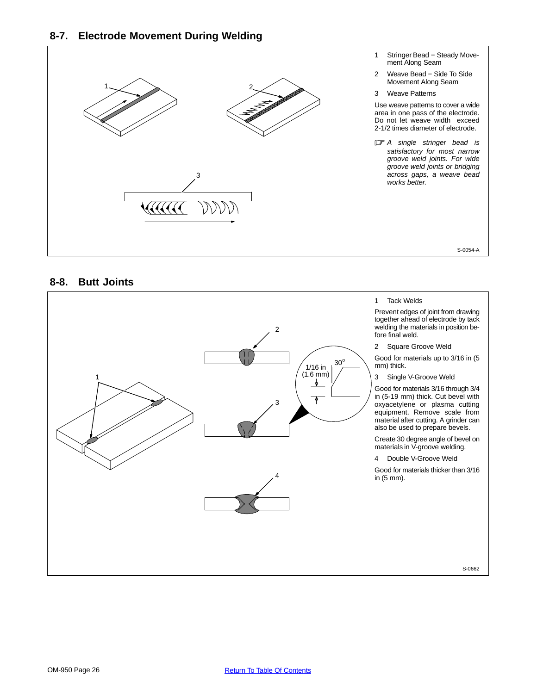<span id="page-29-0"></span>

# **8-8. Butt Joints**

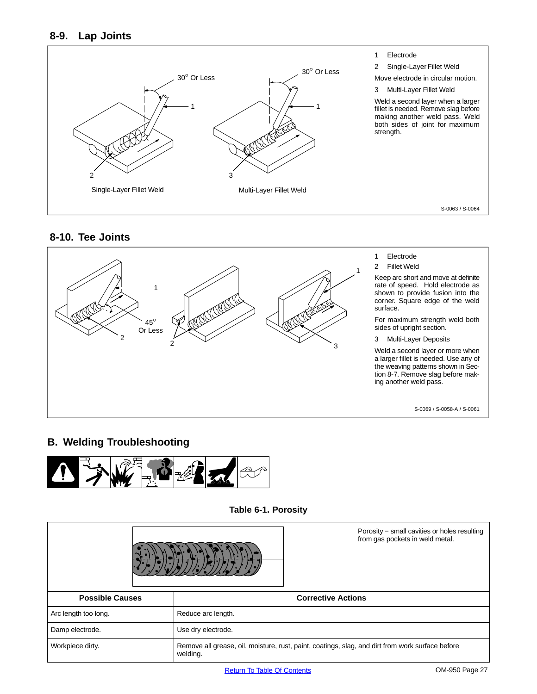# <span id="page-30-0"></span>**8-9. Lap Joints**



# **8-10. Tee Joints**



# **B. Welding Troubleshooting**



**Table 6-1. Porosity**

|                        | Porosity - small cavities or holes resulting<br>from gas pockets in weld metal.                              |  |
|------------------------|--------------------------------------------------------------------------------------------------------------|--|
| <b>Possible Causes</b> | <b>Corrective Actions</b>                                                                                    |  |
| Arc length too long.   | Reduce arc length.                                                                                           |  |
| Damp electrode.        | Use dry electrode.                                                                                           |  |
| Workpiece dirty.       | Remove all grease, oil, moisture, rust, paint, coatings, slag, and dirt from work surface before<br>welding. |  |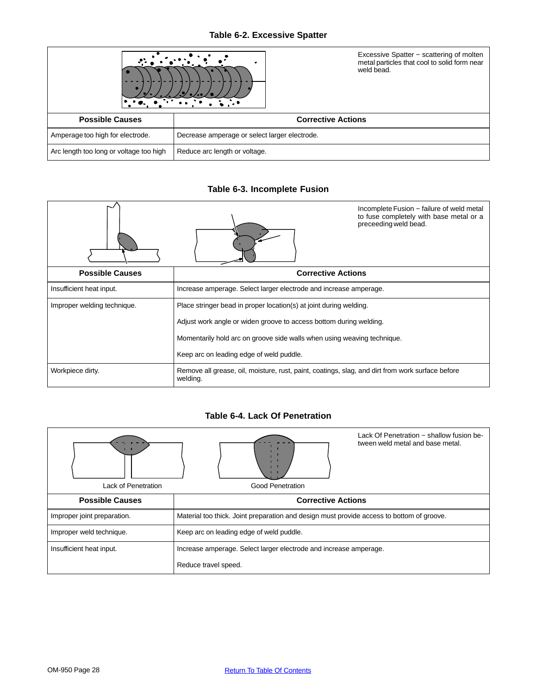# **Table 6-2. Excessive Spatter**

|                                         | Excessive Spatter - scattering of molten<br>metal particles that cool to solid form near<br>weld bead. |
|-----------------------------------------|--------------------------------------------------------------------------------------------------------|
| <b>Possible Causes</b>                  | <b>Corrective Actions</b>                                                                              |
| Amperage too high for electrode.        | Decrease amperage or select larger electrode.                                                          |
| Arc length too long or voltage too high | Reduce arc length or voltage.                                                                          |

# **Table 6-3. Incomplete Fusion**

|                             |                                                                                                              | Incomplete Fusion - failure of weld metal<br>to fuse completely with base metal or a<br>preceeding weld bead. |  |
|-----------------------------|--------------------------------------------------------------------------------------------------------------|---------------------------------------------------------------------------------------------------------------|--|
| <b>Possible Causes</b>      | <b>Corrective Actions</b>                                                                                    |                                                                                                               |  |
| Insufficient heat input.    | Increase amperage. Select larger electrode and increase amperage.                                            |                                                                                                               |  |
| Improper welding technique. | Place stringer bead in proper location(s) at joint during welding.                                           |                                                                                                               |  |
|                             | Adjust work angle or widen groove to access bottom during welding.                                           |                                                                                                               |  |
|                             | Momentarily hold arc on groove side walls when using weaving technique.                                      |                                                                                                               |  |
|                             | Keep arc on leading edge of weld puddle.                                                                     |                                                                                                               |  |
| Workpiece dirty.            | Remove all grease, oil, moisture, rust, paint, coatings, slag, and dirt from work surface before<br>welding. |                                                                                                               |  |

# **Table 6-4. Lack Of Penetration**

| Lack of Penetration         | Lack Of Penetration - shallow fusion be-<br>tween weld metal and base metal.<br>Good Penetration |  |  |
|-----------------------------|--------------------------------------------------------------------------------------------------|--|--|
| <b>Possible Causes</b>      | <b>Corrective Actions</b>                                                                        |  |  |
|                             |                                                                                                  |  |  |
| Improper joint preparation. | Material too thick. Joint preparation and design must provide access to bottom of groove.        |  |  |
| Improper weld technique.    | Keep arc on leading edge of weld puddle.                                                         |  |  |
| Insufficient heat input.    | Increase amperage. Select larger electrode and increase amperage.                                |  |  |
|                             | Reduce travel speed.                                                                             |  |  |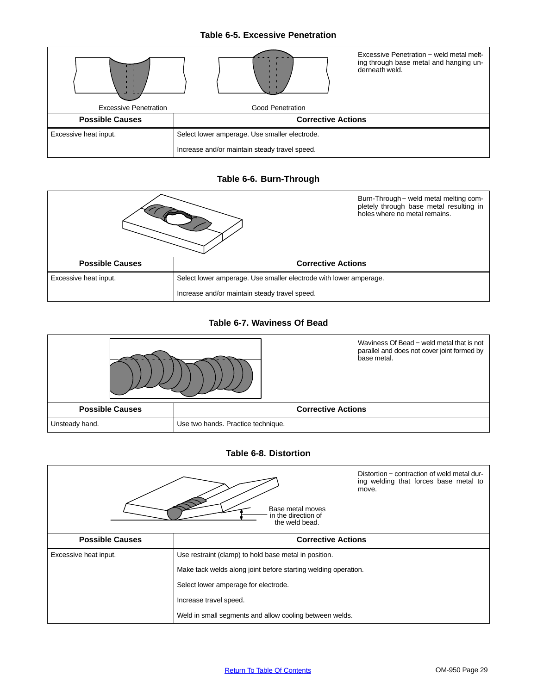## **Table 6-5. Excessive Penetration**



## **Table 6-6. Burn-Through**



# **Table 6-7. Waviness Of Bead**



#### **Table 6-8. Distortion**

|                        | Base metal moves<br>in the direction of<br>the weld bead.      | Distortion – contraction of weld metal dur-<br>ing welding that forces base metal to<br>move. |
|------------------------|----------------------------------------------------------------|-----------------------------------------------------------------------------------------------|
| <b>Possible Causes</b> | <b>Corrective Actions</b>                                      |                                                                                               |
| Excessive heat input.  | Use restraint (clamp) to hold base metal in position.          |                                                                                               |
|                        | Make tack welds along joint before starting welding operation. |                                                                                               |
|                        | Select lower amperage for electrode.                           |                                                                                               |
|                        | Increase travel speed.                                         |                                                                                               |
|                        | Weld in small segments and allow cooling between welds.        |                                                                                               |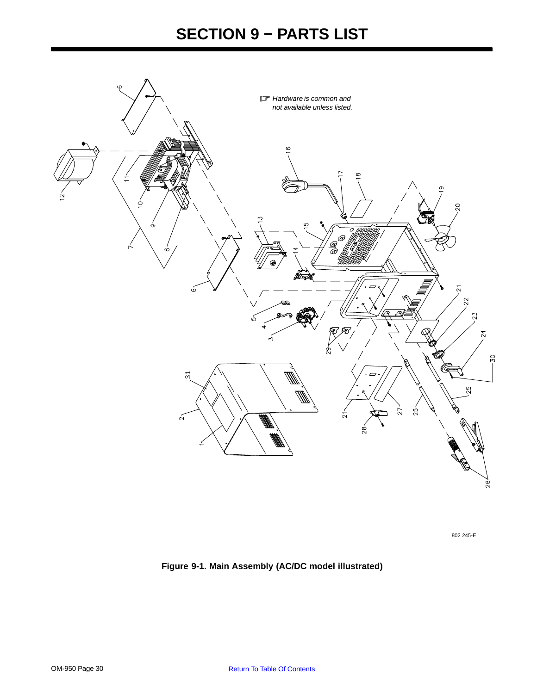# **SECTION 9 − PARTS LIST**

<span id="page-33-0"></span>

802 245-E

**Figure 9-1. Main Assembly (AC/DC model illustrated)**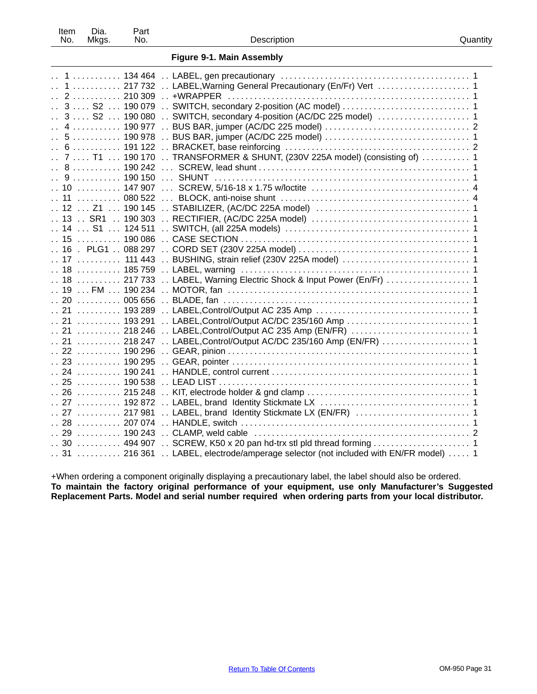| Item | Dia.  | Part |
|------|-------|------|
| No.  | Mkgs. | No.  |

**Figure [9-1.](#page-33-0) Main Assembly**

| 1  217 732  LABEL, Warning General Precautionary (En/Fr) Vert  1<br>$\ddotsc$                                                                |
|----------------------------------------------------------------------------------------------------------------------------------------------|
|                                                                                                                                              |
| 3  S2  190 079  SWITCH, secondary 2-position (AC model)  1                                                                                   |
| $\ldots$ 3 $\ldots$ S2 $\ldots$ 190 080 $\ldots$ SWITCH, secondary 4-position (AC/DC 225 model) $\ldots$ $\ldots$ $\ldots$ $\ldots$ $\ldots$ |
| $\ddotsc$                                                                                                                                    |
|                                                                                                                                              |
|                                                                                                                                              |
| $\ddot{\phantom{a}}$                                                                                                                         |
| 7  T1  190 170  TRANSFORMER & SHUNT, (230V 225A model) (consisting of)  1                                                                    |
| . 8 190 242                                                                                                                                  |
| $\ddot{\phantom{a}}$                                                                                                                         |
|                                                                                                                                              |
|                                                                                                                                              |
|                                                                                                                                              |
|                                                                                                                                              |
|                                                                                                                                              |
|                                                                                                                                              |
|                                                                                                                                              |
| 17  111 443  BUSHING, strain relief (230V 225A model)  1                                                                                     |
|                                                                                                                                              |
|                                                                                                                                              |
|                                                                                                                                              |
|                                                                                                                                              |
| 005 656<br>. . 20                                                                                                                            |
| $\ldots$ 21 $\ldots$ 193 289                                                                                                                 |
| $\ldots$ 21 $\ldots$ 193 291                                                                                                                 |
| 21  218 246  LABEL,Control/Output AC 235 Amp (EN/FR)  1                                                                                      |
|                                                                                                                                              |
| 22 ………… 190 296 … GEAR, pinion …………………………………………………………… 1                                                                                     |
|                                                                                                                                              |
|                                                                                                                                              |
|                                                                                                                                              |
|                                                                                                                                              |
|                                                                                                                                              |
|                                                                                                                                              |
| 27  217 981  LABEL, brand Identity Stickmate LX (EN/FR)  1                                                                                   |
|                                                                                                                                              |
|                                                                                                                                              |
| 30  494 907  SCREW, K50 x 20 pan hd-trx stl pld thread forming  1                                                                            |
| 31  216 361  LABEL, electrode/amperage selector (not included with EN/FR model)  1                                                           |
|                                                                                                                                              |

+When ordering a component originally displaying a precautionary label, the label should also be ordered. **To maintain the factory original performance of your equipment, use only Manufacturer's Suggested Replacement Parts. Model and serial number required when ordering parts from your local distributor.**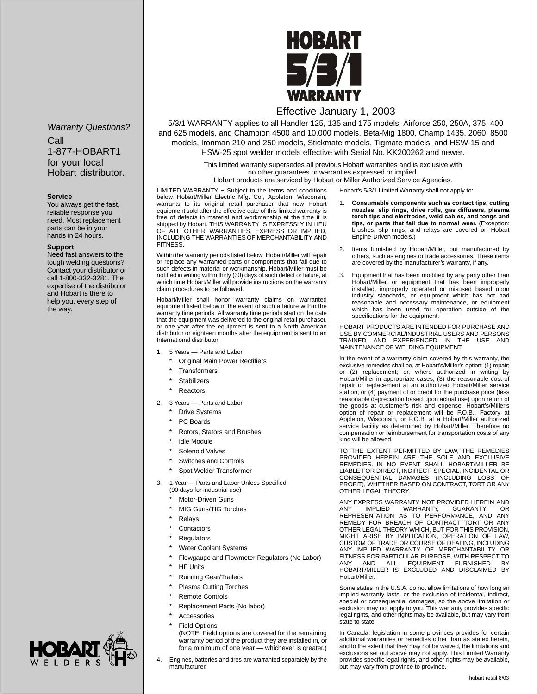#### Warranty Questions?

Call 1-877-HOBART1 for your local Hobart distributor.

#### **Service**

You always get the fast, reliable response you need. Most replacement parts can be in your hands in 24 hours.

#### **Support**

Need fast answers to the tough welding questions? Contact your distributor or call 1-800-332-3281. The expertise of the distributor and Hobart is there to help you, every step of the way.



# Effective January 1, 2003

5/3/1 WARRANTY applies to all Handler 125, 135 and 175 models, Airforce 250, 250A, 375, 400 and 625 models, and Champion 4500 and 10,000 models, Beta-Mig 1800, Champ 1435, 2060, 8500 models, Ironman 210 and 250 models, Stickmate models, Tigmate models, and HSW-15 and HSW-25 spot welder models effective with Serial No. KK200262 and newer.

> This limited warranty supersedes all previous Hobart warranties and is exclusive with no other guarantees or warranties expressed or implied.

Hobart products are serviced by Hobart or Miller Authorized Service Agencies.

Hobart's 5/3/1 Limited Warranty shall not apply to:

LIMITED WARRANTY − Subject to the terms and conditions below, Hobart/Miller Electric Mfg. Co., Appleton, Wisconsin, warrants to its original retail purchaser that new Hobart equipment sold after the effective date of this limited warranty is free of defects in material and workmanship at the time it is shipped by Hobart. THIS WARRANTY IS EXPRESSLY IN LIEU OF ALL OTHER WARRANTIES, EXPRESS OR IMPLIED, INCLUDING THE WARRANTIES OF MERCHANTABILITY AND **FITNESS** 

Within the warranty periods listed below, Hobart/Miller will repair or replace any warranted parts or components that fail due to such defects in material or workmanship. Hobart/Miller must be notified in writing within thirty (30) days of such defect or failure, at which time Hobart/Miller will provide instructions on the warranty claim procedures to be followed.

Hobart/Miller shall honor warranty claims on warranted equipment listed below in the event of such a failure within the warranty time periods. All warranty time periods start on the date that the equipment was delivered to the original retail purchaser, or one year after the equipment is sent to a North American distributor or eighteen months after the equipment is sent to an International distributor.

- 1. 5 Years Parts and Labor
	- **Original Main Power Rectifiers**
	- **Transformers**
	- Stabilizers
	- **Reactors**
- 2. 3 Years Parts and Labor
	- **Drive Systems**
	- PC Boards
	- Rotors, Stators and Brushes
	- Idle Module
	- Solenoid Valves
	- Switches and Controls
	- Spot Welder Transformer
- 3. 1 Year Parts and Labor Unless Specified (90 days for industrial use)
	- Motor-Driven Guns
	- MIG Guns/TIG Torches
	- **Relays**
	- Contactors
	- **Regulators**
	- Water Coolant Systems
	- Flowgauge and Flowmeter Regulators (No Labor)
	- **HF Units**
	- Running Gear/Trailers
	- Plasma Cutting Torches
	- Remote Controls
	- Replacement Parts (No labor)
- **Accessories** 
	- **Field Options**
	- (NOTE: Field options are covered for the remaining warranty period of the product they are installed in, or for a minimum of one year — whichever is greater.)
- 4. Engines, batteries and tires are warranted separately by the manufacturer.
- 1. **Consumable components such as contact tips, cutting nozzles, slip rings, drive rolls, gas diffusers, plasma torch tips and electrodes, weld cables, and tongs and tips, or parts that fail due to normal wear.** (Exception: brushes, slip rings, and relays are covered on Hobart Engine-Driven models.)
- 2. Items furnished by Hobart/Miller, but manufactured by others, such as engines or trade accessories. These items are covered by the manufacturer's warranty, if any.
- 3. Equipment that has been modified by any party other than Hobart/Miller, or equipment that has been improperly installed, improperly operated or misused based upon industry standards, or equipment which has not had reasonable and necessary maintenance, or equipment which has been used for operation outside of the specifications for the equipment.

HOBART PRODUCTS ARE INTENDED FOR PURCHASE AND USE BY COMMERCIAL/INDUSTRIAL USERS AND PERSONS TRAINED AND EXPERIENCED IN THE USE AND MAINTENANCE OF WELDING EQUIPMENT.

In the event of a warranty claim covered by this warranty, the exclusive remedies shall be, at Hobart's/Miller's option: (1) repair; or (2) replacement; or, where authorized in writing by Hobart/Miller in appropriate cases, (3) the reasonable cost of repair or replacement at an authorized Hobart/Miller service station; or (4) payment of or credit for the purchase price (less reasonable depreciation based upon actual use) upon return of the goods at customer's risk and expense. Hobart's/Miller's option of repair or replacement will be F.O.B., Factory at Appleton, Wisconsin, or F.O.B. at a Hobart/Miller authorized service facility as determined by Hobart/Miller. Therefore no compensation or reimbursement for transportation costs of any kind will be allowed.

TO THE EXTENT PERMITTED BY LAW, THE REMEDIES PROVIDED HEREIN ARE THE SOLE AND EXCLUSIVE<br>REMEDIES. IN NO EVENT SHALL HOBART/MILLER BE<br>LIABLE FOR DIRECT, INDIRECT, SPECIAL, INCIDENTAL OR<br>CONSEQUENTIAL DAMAGES (INCLUDING LOSS OF<br>PROFIT), WHETHER BASED ON CONTRACT, TORT OTHER LEGAL THEORY.

ANY EXPRESS WARRANTY NOT PROVIDED HEREIN AND ANY IMPLIED WARRANTY, GUARANTY OR REPRESENTATION AS TO PERFORMANCE, AND ANY REMEDY FOR BREACH OF CONTRACT TORT OR ANY OTHER LEGAL THEORY WHICH, BUT FOR THIS PROVISION, MIGHT ARISE BY IMPLICATION, OPERATION OF LAW, CUSTOM OF TRADE OR COURSE OF DEALING, INCLUDING<br>ANY IMPLIED WARRANTY OF MERCHANTABILITY OR<br>FITNESS FOR PARTICULAR PURPOSE, WITH RESPECT TO<br>ANY AND ALL EQUIPMENT FURNISHED BY HOBART/MILLER IS EXCLUDED AND DISCLAIMED BY Hobart/Miller.

Some states in the U.S.A. do not allow limitations of how long an implied warranty lasts, or the exclusion of incidental, indirect, special or consequential damages, so the above limitation or exclusion may not apply to you. This warranty provides specific legal rights, and other rights may be available, but may vary from state to state.

In Canada, legislation in some provinces provides for certain additional warranties or remedies other than as stated herein, and to the extent that they may not be waived, the limitations and exclusions set out above may not apply. This Limited Warranty provides specific legal rights, and other rights may be available, but may vary from province to province.